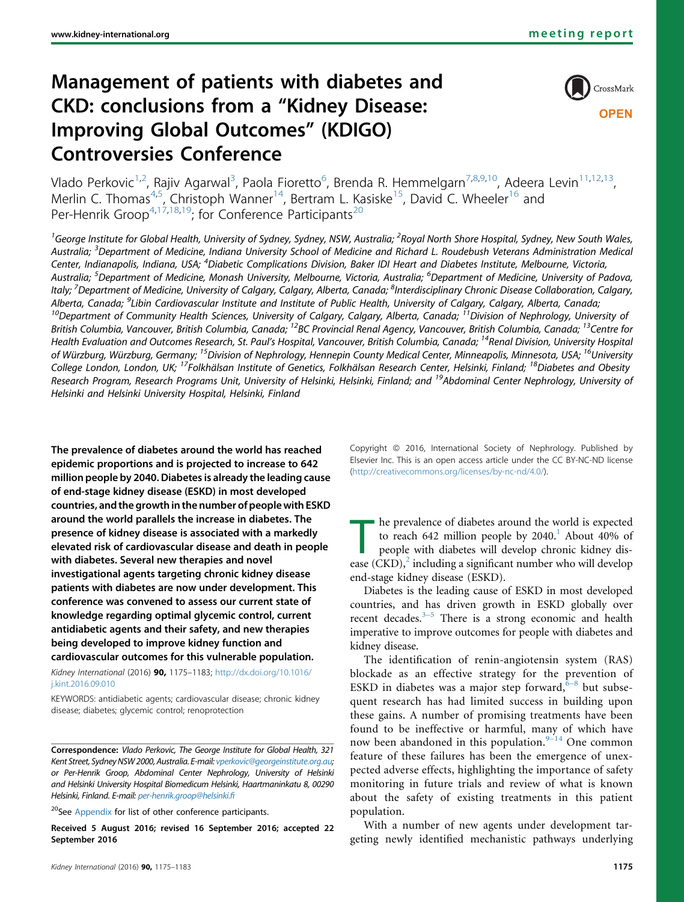# Management of patients with diabetes and CKD: conclusions from a "Kidney Disease: Improving Global Outcomes" (KDIGO) Controversies Conference



Vlado Perkovic<sup>1,2</sup>, Rajiv Agarwal<sup>3</sup>, Paola Fioretto<sup>6</sup>, Brenda R. Hemmelgarn<sup>7,8,9,10</sup>, Adeera Levin<sup>11,12,13</sup>, Merlin C. Thomas<sup>4,5</sup>, Christoph Wanner<sup>14</sup>, Bertram L. Kasiske<sup>15</sup>, David C. Wheeler<sup>16</sup> and Per-Henrik Groop<sup>4,17,18,19</sup>; for Conference Participants<sup>20</sup>

<sup>1</sup>George Institute for Global Health, University of Sydney, Sydney, NSW, Australia; <sup>2</sup>Royal North Shore Hospital, Sydney, New South Wales, Australia; <sup>3</sup>Department of Medicine, Indiana University School of Medicine and Richard L. Roudebush Veterans Administration Medical Center, Indianapolis, Indiana, USA; <sup>4</sup>Diabetic Complications Division, Baker IDI Heart and Diabetes Institute, Melbourne, Victoria, Australia; <sup>5</sup>Department of Medicine, Monash University, Melbourne, Victoria, Australia; <sup>6</sup>Department of Medicine, University of Padova, Italy; <sup>7</sup>Department of Medicine, University of Calgary, Calgary, Alberta, Canada; <sup>8</sup>Interdisciplinary Chronic Disease Collaboration, Calgary, Alberta, Canada; <sup>9</sup>Libin Cardiovascular Institute and Institute of Public Health, University of Calgary, Calgary, Alberta, Canada; <sup>10</sup>Department of Community Health Sciences, University of Calgary, Calgary, Alberta, Canada; <sup>11</sup>Division of Nephrology, University of British Columbia, Vancouver, British Columbia, Canada; <sup>12</sup>BC Provincial Renal Agency, Vancouver, British Columbia, Canada; <sup>13</sup>Centre for Health Evaluation and Outcomes Research, St. Paul's Hospital, Vancouver, British Columbia, Canada; <sup>14</sup>Renal Division, University Hospital of Würzburg, Würzburg, Germany; <sup>15</sup>Division of Nephrology, Hennepin County Medical Center, Minneapolis, Minnesota, USA; <sup>16</sup>University College London, London, UK; <sup>17</sup>Folkhälsan Institute of Genetics, Folkhälsan Research Center, Helsinki, Finland; <sup>18</sup>Diabetes and Obesity Research Program, Research Programs Unit, University of Helsinki, Helsinki, Finland; and <sup>19</sup>Abdominal Center Nephrology, University of Helsinki and Helsinki University Hospital, Helsinki, Finland

The prevalence of diabetes around the world has reached epidemic proportions and is projected to increase to 642 million people by 2040. Diabetes is already the leading cause of end-stage kidney disease (ESKD) in most developed countries, and the growth in the number of people with ESKD around the world parallels the increase in diabetes. The presence of kidney disease is associated with a markedly elevated risk of cardiovascular disease and death in people with diabetes. Several new therapies and novel investigational agents targeting chronic kidney disease patients with diabetes are now under development. This conference was convened to assess our current state of knowledge regarding optimal glycemic control, current antidiabetic agents and their safety, and new therapies being developed to improve kidney function and cardiovascular outcomes for this vulnerable population.

Kidney International (2016) 90, 1175-1183; [http://dx.doi.org/10.1016/](http://dx.doi.org/10.1016/j.kint.2016.09.010) [j.kint.2016.09.010](http://dx.doi.org/10.1016/j.kint.2016.09.010)

KEYWORDS: antidiabetic agents; cardiovascular disease; chronic kidney disease; diabetes; glycemic control; renoprotection

Correspondence: Vlado Perkovic, The George Institute for Global Health, 321 Kent Street, Sydney NSW 2000, Australia. E-mail: [vperkovic@georgeinstitute.org.au](mailto:vperkovic@georgeinstitute.org.au); or Per-Henrik Groop, Abdominal Center Nephrology, University of Helsinki and Helsinki University Hospital Biomedicum Helsinki, Haartmaninkatu 8, 00290 Helsinki, Finland. E-mail: [per-henrik.groop@helsinki.](mailto:per-henrik.groop@helsinki.fi)fi

<sup>20</sup>See [Appendix](#page-8-0) for list of other conference participants.

Received 5 August 2016; revised 16 September 2016; accepted 22 September 2016

Copyright @ 2016, International Society of Nephrology. Published by Elsevier Inc. This is an open access article under the CC BY-NC-ND license [\(http://creativecommons.org/licenses/by-nc-nd/4.0/](http://creativecommons.org/licenses/by-nc-nd/4.0/)).

The prevalence of diabetes around the world is expected<br>to reach 642 million people by 2040.<sup>1</sup> About 40% of<br>people with diabetes will develop chronic kidney dis-<br>exec( $\frac{C K \text{D}}{2}$  including a significant number who wi to reach 642 million people by  $2040<sup>1</sup>$  $2040<sup>1</sup>$  $2040<sup>1</sup>$  About 40% of people with diabetes will develop chronic kidney disease  $(CKD)$ , including a significant number who will develop end-stage kidney disease (ESKD).

Diabetes is the leading cause of ESKD in most developed countries, and has driven growth in ESKD globally over recent decades. $3-5$  There is a strong economic and health imperative to improve outcomes for people with diabetes and kidney disease.

The identification of renin-angiotensin system (RAS) blockade as an effective strategy for the [pre](#page-6-0)vention of ESKD in diabetes was a major step forward,  $6-8$  but subsequent research has had limited success in building upon these gains. A number of promising treatments have been found to be ineffective or harmful, many of which have now been abandoned in this population. $9-14$  $9-14$  One common feature of these failures has been the emergence of unexpected adverse effects, highlighting the importance of safety monitoring in future trials and review of what is known about the safety of existing treatments in this patient population.

With a number of new agents under development targeting newly identified mechanistic pathways underlying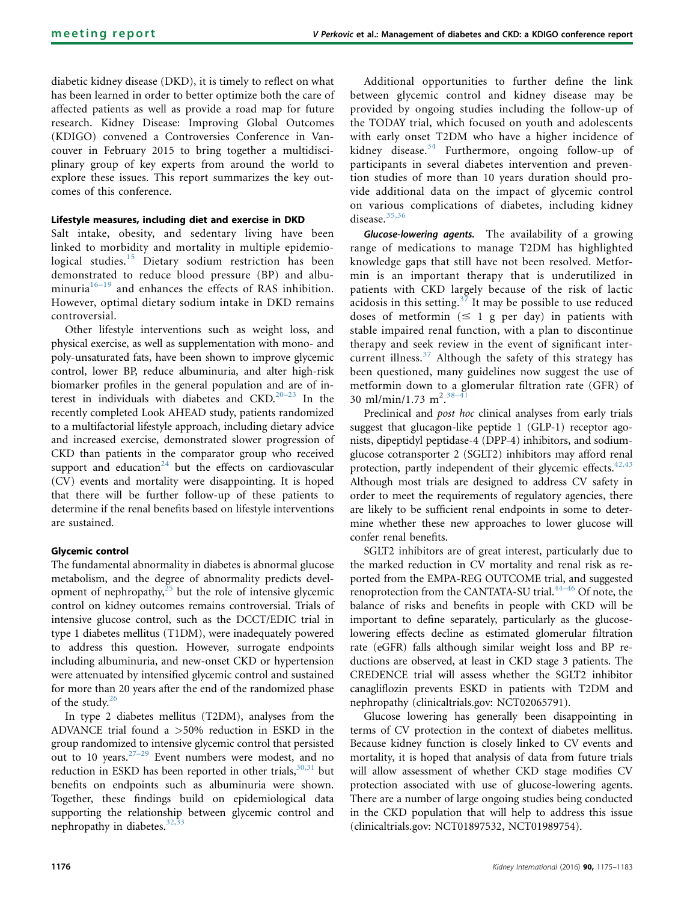diabetic kidney disease (DKD), it is timely to reflect on what has been learned in order to better optimize both the care of affected patients as well as provide a road map for future research. Kidney Disease: Improving Global Outcomes (KDIGO) convened a Controversies Conference in Vancouver in February 2015 to bring together a multidisciplinary group of key experts from around the world to explore these issues. This report summarizes the key outcomes of this conference.

### Lifestyle measures, including diet and exercise in DKD

Salt intake, obesity, and sedentary living have been linked to morbidity and mortality in multiple epidemio-logical studies.<sup>[15](#page-6-0)</sup> Dietary sodium restriction has been demonstrated to reduce blood pressure (BP) and albuminuria $16-19$  $16-19$  and enhances the effects of RAS inhibition. However, optimal dietary sodium intake in DKD remains controversial.

Other lifestyle interventions such as weight loss, and physical exercise, as well as supplementation with mono- and poly-unsaturated fats, have been shown to improve glycemic control, lower BP, reduce albuminuria, and alter high-risk biomarker profiles in the general population and are of interest in individuals with diabetes and  $CKD$ .<sup>[20](#page-6-0)–23</sup> In the recently completed Look AHEAD study, patients randomized to a multifactorial lifestyle approach, including dietary advice and increased exercise, demonstrated slower progression of CKD than patients in the comparator group who received support and education<sup>[24](#page-6-0)</sup> but the effects on cardiovascular (CV) events and mortality were disappointing. It is hoped that there will be further follow-up of these patients to determine if the renal benefits based on lifestyle interventions are sustained.

# Glycemic control

The fundamental abnormality in diabetes is abnormal glucose metabolism, and the degree of abnormality predicts development of nephropathy, $25$  but the role of intensive glycemic control on kidney outcomes remains controversial. Trials of intensive glucose control, such as the DCCT/EDIC trial in type 1 diabetes mellitus (T1DM), were inadequately powered to address this question. However, surrogate endpoints including albuminuria, and new-onset CKD or hypertension were attenuated by intensified glycemic control and sustained for more than 20 years after the end of the randomized phase of the study. $26$ 

In type 2 diabetes mellitus (T2DM), analyses from the ADVANCE trial found a >50% reduction in ESKD in the group randomized to intensive glycemic control that persisted out to 10 years. $27-29$  Event numbers were modest, and no reduction in ESKD has been reported in other trials,  $30,31$  but benefits on endpoints such as albuminuria were shown. Together, these findings build on epidemiological data supporting the relationship between glycemic control and nephropathy in diabetes.<sup>32,3</sup>

Additional opportunities to further define the link between glycemic control and kidney disease may be provided by ongoing studies including the follow-up of the TODAY trial, which focused on youth and adolescents with early onset T2DM who have a higher incidence of kidney disease.<sup>[34](#page-6-0)</sup> Furthermore, ongoing follow-up of participants in several diabetes intervention and prevention studies of more than 10 years duration should provide additional data on the impact of glycemic control on various complications of diabetes, including kidney disease.<sup>[35,36](#page-6-0)</sup>

Glucose-lowering agents. The availability of a growing range of medications to manage T2DM has highlighted knowledge gaps that still have not been resolved. Metformin is an important therapy that is underutilized in patients with CKD largely because of the risk of lactic acidosis in this setting.<sup>[37](#page-6-0)</sup> It may be possible to use reduced doses of metformin  $( \leq 1$  g per day) in patients with stable impaired renal function, with a plan to discontinue therapy and seek review in the event of significant inter-current illness.<sup>[37](#page-6-0)</sup> Although the safety of this strategy has been questioned, many guidelines now suggest the use of metformin down to a glomerular filtration rate (GFR) of 30 ml/min/1.73 m<sup>2</sup>.<sup>38-[41](#page-6-0)</sup>

Preclinical and post hoc clinical analyses from early trials suggest that glucagon-like peptide 1 (GLP-1) receptor agonists, dipeptidyl peptidase-4 (DPP-4) inhibitors, and sodiumglucose cotransporter 2 (SGLT2) inhibitors may afford renal protection, partly independent of their glycemic effects. $42,43$ Although most trials are designed to address CV safety in order to meet the requirements of regulatory agencies, there are likely to be sufficient renal endpoints in some to determine whether these new approaches to lower glucose will confer renal benefits.

SGLT2 inhibitors are of great interest, particularly due to the marked reduction in CV mortality and renal risk as reported from the EMPA-REG OUTCOME tr[ial, an](#page-6-0)d suggested renoprotection from the CANTATA-SU trial.<sup>44-46</sup> Of note, the balance of risks and benefits in people with CKD will be important to define separately, particularly as the glucoselowering effects decline as estimated glomerular filtration rate (eGFR) falls although similar weight loss and BP reductions are observed, at least in CKD stage 3 patients. The CREDENCE trial will assess whether the SGLT2 inhibitor canagliflozin prevents ESKD in patients with T2DM and nephropathy (clinicaltrials.gov: NCT02065791).

Glucose lowering has generally been disappointing in terms of CV protection in the context of diabetes mellitus. Because kidney function is closely linked to CV events and mortality, it is hoped that analysis of data from future trials will allow assessment of whether CKD stage modifies CV protection associated with use of glucose-lowering agents. There are a number of large ongoing studies being conducted in the CKD population that will help to address this issue (clinicaltrials.gov: NCT01897532, NCT01989754).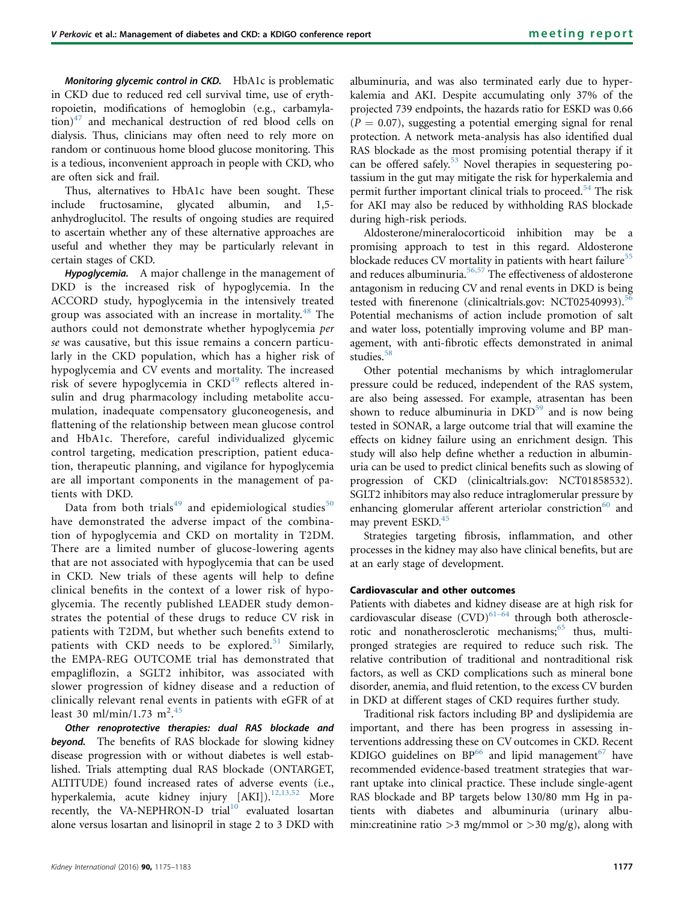Monitoring glycemic control in CKD. HbA1c is problematic in CKD due to reduced red cell survival time, use of erythropoietin, modifications of hemoglobin (e.g., carbamyla- $\text{tion}$ <sup>[47](#page-6-0)</sup> and mechanical destruction of red blood cells on dialysis. Thus, clinicians may often need to rely more on random or continuous home blood glucose monitoring. This is a tedious, inconvenient approach in people with CKD, who are often sick and frail.

Thus, alternatives to HbA1c have been sought. These include fructosamine, glycated albumin, and 1,5 anhydroglucitol. The results of ongoing studies are required to ascertain whether any of these alternative approaches are useful and whether they may be particularly relevant in certain stages of CKD.

Hypoglycemia. A major challenge in the management of DKD is the increased risk of hypoglycemia. In the ACCORD study, hypoglycemia in the intensively treated group was associated with an increase in mortality.<sup>[48](#page-6-0)</sup> The authors could not demonstrate whether hypoglycemia per se was causative, but this issue remains a concern particularly in the CKD population, which has a higher risk of hypoglycemia and CV events and mortality. The increased risk of severe hypoglycemia in  $CKD<sup>49</sup>$  $CKD<sup>49</sup>$  $CKD<sup>49</sup>$  reflects altered insulin and drug pharmacology including metabolite accumulation, inadequate compensatory gluconeogenesis, and flattening of the relationship between mean glucose control and HbA1c. Therefore, careful individualized glycemic control targeting, medication prescription, patient education, therapeutic planning, and vigilance for hypoglycemia are all important components in the management of patients with DKD.

Data from both trials<sup>[49](#page-7-0)</sup> and epidemiological studies<sup>[50](#page-7-0)</sup> have demonstrated the adverse impact of the combination of hypoglycemia and CKD on mortality in T2DM. There are a limited number of glucose-lowering agents that are not associated with hypoglycemia that can be used in CKD. New trials of these agents will help to define clinical benefits in the context of a lower risk of hypoglycemia. The recently published LEADER study demonstrates the potential of these drugs to reduce CV risk in patients with T2DM, but whether such benefits extend to patients with CKD needs to be explored.<sup>[51](#page-7-0)</sup> Similarly, the EMPA-REG OUTCOME trial has demonstrated that empagliflozin, a SGLT2 inhibitor, was associated with slower progression of kidney disease and a reduction of clinically relevant renal events in patients with eGFR of at least 30 ml/min/1.73 m<sup>2</sup>.<sup>[45](#page-6-0)</sup>

Other renoprotective therapies: dual RAS blockade and **beyond.** The benefits of RAS blockade for slowing kidney disease progression with or without diabetes is well established. Trials attempting dual RAS blockade (ONTARGET, ALTITUDE) found increased rates of adverse events (i.e., hyperkalemia, acute kidney injury [AKI]).<sup>[12,13,52](#page-6-0)</sup> More recently, the VA-NEPHRON-D trial<sup>[10](#page-6-0)</sup> evaluated losartan alone versus losartan and lisinopril in stage 2 to 3 DKD with albuminuria, and was also terminated early due to hyperkalemia and AKI. Despite accumulating only 37% of the projected 739 endpoints, the hazards ratio for ESKD was 0.66  $(P = 0.07)$ , suggesting a potential emerging signal for renal protection. A network meta-analysis has also identified dual RAS blockade as the most promising potential therapy if it can be offered safely.<sup>[53](#page-7-0)</sup> Novel therapies in sequestering potassium in the gut may mitigate the risk for hyperkalemia and permit further important clinical trials to proceed.<sup>[54](#page-7-0)</sup> The risk for AKI may also be reduced by withholding RAS blockade during high-risk periods.

Aldosterone/mineralocorticoid inhibition may be a promising approach to test in this regard. Aldosterone blockade reduces CV mortality in patients with heart failure<sup>55</sup> and reduces albuminuria.<sup>[56,57](#page-7-0)</sup> The effectiveness of aldosterone antagonism in reducing CV and renal events in DKD is being tested with finerenone (clinicaltrials.gov: NCT02540993).<sup>[56](#page-7-0)</sup> Potential mechanisms of action include promotion of salt and water loss, potentially improving volume and BP management, with anti-fibrotic effects demonstrated in animal studies.<sup>[58](#page-7-0)</sup>

Other potential mechanisms by which intraglomerular pressure could be reduced, independent of the RAS system, are also being assessed. For example, atrasentan has been shown to reduce albuminuria in  $DKD<sup>59</sup>$  $DKD<sup>59</sup>$  $DKD<sup>59</sup>$  and is now being tested in SONAR, a large outcome trial that will examine the effects on kidney failure using an enrichment design. This study will also help define whether a reduction in albuminuria can be used to predict clinical benefits such as slowing of progression of CKD (clinicaltrials.gov: NCT01858532). SGLT2 inhibitors may also reduce intraglomerular pressure by enhancing glomerular afferent arteriolar constriction $60$  and may prevent ESKD.<sup>45</sup>

Strategies targeting fibrosis, inflammation, and other processes in the kidney may also have clinical benefits, but are at an early stage of development.

# Cardiovascular and other outcomes

Patients with diabetes and kidney disease are at high risk for cardiovascular disease  $(CVD)^{61-64}$  $(CVD)^{61-64}$  $(CVD)^{61-64}$  through both atheroscle-rotic and nonatherosclerotic mechanisms;<sup>[65](#page-7-0)</sup> thus, multipronged strategies are required to reduce such risk. The relative contribution of traditional and nontraditional risk factors, as well as CKD complications such as mineral bone disorder, anemia, and fluid retention, to the excess CV burden in DKD at different stages of CKD requires further study.

Traditional risk factors including BP and dyslipidemia are important, and there has been progress in assessing interventions addressing these on CV outcomes in CKD. Recent KDIGO guidelines on  $BP^{66}$  $BP^{66}$  $BP^{66}$  and lipid management<sup>[67](#page-7-0)</sup> have recommended evidence-based treatment strategies that warrant uptake into clinical practice. These include single-agent RAS blockade and BP targets below 130/80 mm Hg in patients with diabetes and albuminuria (urinary albumin: creatinine ratio  $>3$  mg/mmol or  $>30$  mg/g), along with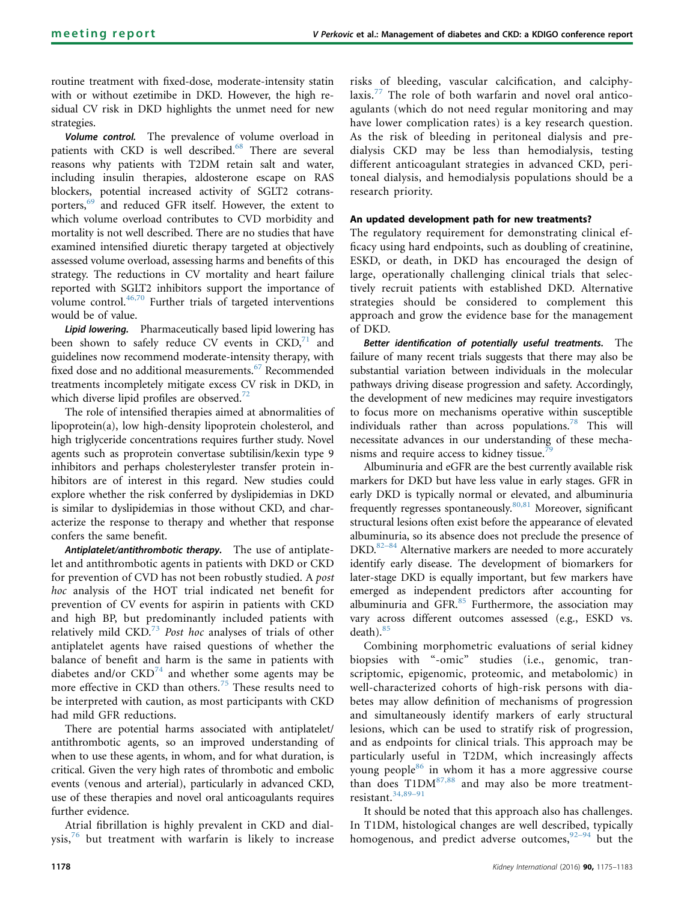routine treatment with fixed-dose, moderate-intensity statin with or without ezetimibe in DKD. However, the high residual CV risk in DKD highlights the unmet need for new strategies.

Volume control. The prevalence of volume overload in patients with CKD is well described.<sup>68</sup> There are several reasons why patients with T2DM retain salt and water, including insulin therapies, aldosterone escape on RAS blockers, potential increased activity of SGLT2 cotrans-porters,<sup>[69](#page-7-0)</sup> and reduced GFR itself. However, the extent to which volume overload contributes to CVD morbidity and mortality is not well described. There are no studies that have examined intensified diuretic therapy targeted at objectively assessed volume overload, assessing harms and benefits of this strategy. The reductions in CV mortality and heart failure reported with SGLT2 inhibitors support the importance of volume control.<sup>[46,70](#page-6-0)</sup> Further trials of targeted interventions would be of value.

Lipid lowering. Pharmaceutically based lipid lowering has been shown to safely reduce CV events in  $CKD<sub>1</sub><sup>71</sup>$  $CKD<sub>1</sub><sup>71</sup>$  $CKD<sub>1</sub><sup>71</sup>$  and guidelines now recommend moderate-intensity therapy, with fixed dose and no additional measurements.<sup>[67](#page-7-0)</sup> Recommended treatments incompletely mitigate excess CV risk in DKD, in which diverse lipid profiles are observed.<sup>72</sup>

The role of intensified therapies aimed at abnormalities of lipoprotein(a), low high-density lipoprotein cholesterol, and high triglyceride concentrations requires further study. Novel agents such as proprotein convertase subtilisin/kexin type 9 inhibitors and perhaps cholesterylester transfer protein inhibitors are of interest in this regard. New studies could explore whether the risk conferred by dyslipidemias in DKD is similar to dyslipidemias in those without CKD, and characterize the response to therapy and whether that response confers the same benefit.

Antiplatelet/antithrombotic therapy. The use of antiplatelet and antithrombotic agents in patients with DKD or CKD for prevention of CVD has not been robustly studied. A post hoc analysis of the HOT trial indicated net benefit for prevention of CV events for aspirin in patients with CKD and high BP, but predominantly included patients with relatively mild CKD.<sup>[73](#page-7-0)</sup> Post hoc analyses of trials of other antiplatelet agents have raised questions of whether the balance of benefit and harm is the same in patients with diabetes and/or  $\text{CKD}^{74}$  $\text{CKD}^{74}$  $\text{CKD}^{74}$  and whether some agents may be more effective in CKD than others.<sup>[75](#page-7-0)</sup> These results need to be interpreted with caution, as most participants with CKD had mild GFR reductions.

There are potential harms associated with antiplatelet/ antithrombotic agents, so an improved understanding of when to use these agents, in whom, and for what duration, is critical. Given the very high rates of thrombotic and embolic events (venous and arterial), particularly in advanced CKD, use of these therapies and novel oral anticoagulants requires further evidence.

Atrial fibrillation is highly prevalent in CKD and dial- $ysis<sub>1</sub><sup>76</sup>$  $ysis<sub>1</sub><sup>76</sup>$  $ysis<sub>1</sub><sup>76</sup>$  but treatment with warfarin is likely to increase risks of bleeding, vascular calcification, and calciphy-laxis.<sup>[77](#page-7-0)</sup> The role of both warfarin and novel oral anticoagulants (which do not need regular monitoring and may have lower complication rates) is a key research question. As the risk of bleeding in peritoneal dialysis and predialysis CKD may be less than hemodialysis, testing different anticoagulant strategies in advanced CKD, peritoneal dialysis, and hemodialysis populations should be a research priority.

# An updated development path for new treatments?

The regulatory requirement for demonstrating clinical efficacy using hard endpoints, such as doubling of creatinine, ESKD, or death, in DKD has encouraged the design of large, operationally challenging clinical trials that selectively recruit patients with established DKD. Alternative strategies should be considered to complement this approach and grow the evidence base for the management of DKD.

Better identification of potentially useful treatments. The failure of many recent trials suggests that there may also be substantial variation between individuals in the molecular pathways driving disease progression and safety. Accordingly, the development of new medicines may require investigators to focus more on mechanisms operative within susceptible individuals rather than across populations.<sup>[78](#page-7-0)</sup> This will necessitate advances in our understanding of these mechanisms and require access to kidney tissue.<sup>7</sup>

Albuminuria and eGFR are the best currently available risk markers for DKD but have less value in early stages. GFR in early DKD is typically normal or elevated, and albuminuria frequently regresses spontaneously.<sup>[80,81](#page-7-0)</sup> Moreover, significant structural lesions often exist before the appearance of elevated albuminuria, so its absence does not preclude the presence of DKD.<sup>[82](#page-7-0)–84</sup> Alternative markers are needed to more accurately identify early disease. The development of biomarkers for later-stage DKD is equally important, but few markers have emerged as independent predictors after accounting for albuminuria and GFR. $85$  Furthermore, the association may vary across different outcomes assessed (e.g., ESKD vs. death).<sup>[85](#page-7-0)</sup>

Combining morphometric evaluations of serial kidney biopsies with "-omic" studies (i.e., genomic, transcriptomic, epigenomic, proteomic, and metabolomic) in well-characterized cohorts of high-risk persons with diabetes may allow definition of mechanisms of progression and simultaneously identify markers of early structural lesions, which can be used to stratify risk of progression, and as endpoints for clinical trials. This approach may be particularly useful in T2DM, which increasingly affects young people<sup>[86](#page-7-0)</sup> in whom it has a more aggressive course than does  $T1DM<sup>87,88</sup>$  $T1DM<sup>87,88</sup>$  $T1DM<sup>87,88</sup>$  and may also be more treatmentresistant.[34,89](#page-6-0)–<sup>91</sup>

It should be noted that this approach also has challenges. In T1DM, histological changes are well described, typically homogenous, and predict adverse outcomes,  $92-94$  $92-94$  but the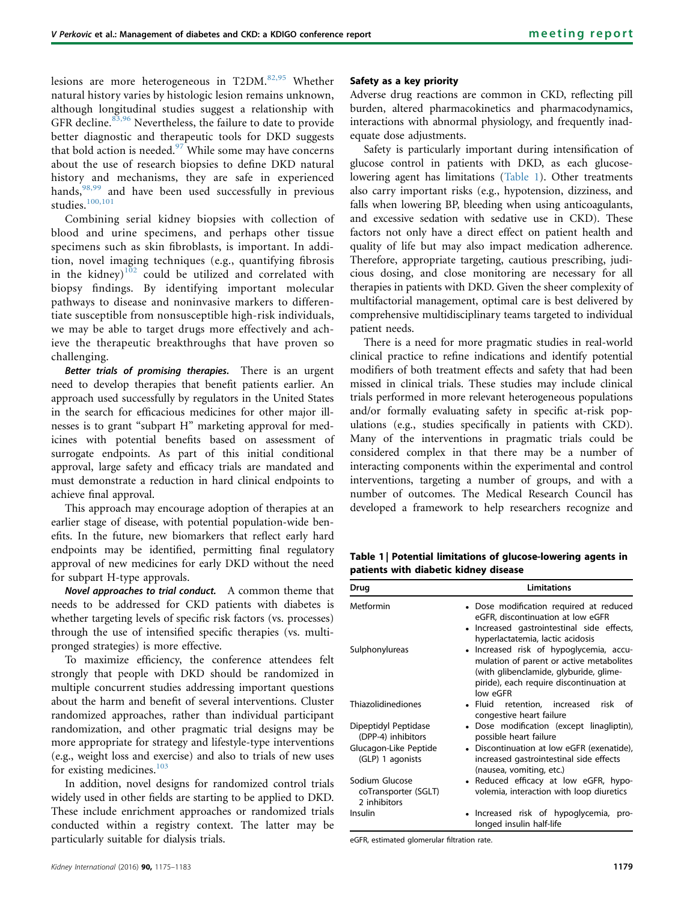lesions are more heterogeneous in T2DM.<sup>[82,95](#page-7-0)</sup> Whether natural history varies by histologic lesion remains unknown, although longitudinal studies suggest a relationship with GFR decline. $83,96$  Nevertheless, the failure to date to provide better diagnostic and therapeutic tools for DKD suggests that bold action is needed. $97$  While some may have concerns about the use of research biopsies to define DKD natural history and mechanisms, they are safe in experienced hands,<sup>[98,99](#page-8-0)</sup> and have been used successfully in previous studies. $100,101$ 

Combining serial kidney biopsies with collection of blood and urine specimens, and perhaps other tissue specimens such as skin fibroblasts, is important. In addition, novel imaging techniques (e.g., quantifying fibrosis in the kidney)<sup>[102](#page-8-0)</sup> could be utilized and correlated with biopsy findings. By identifying important molecular pathways to disease and noninvasive markers to differentiate susceptible from nonsusceptible high-risk individuals, we may be able to target drugs more effectively and achieve the therapeutic breakthroughs that have proven so challenging.

Better trials of promising therapies. There is an urgent need to develop therapies that benefit patients earlier. An approach used successfully by regulators in the United States in the search for efficacious medicines for other major illnesses is to grant "subpart H" marketing approval for medicines with potential benefits based on assessment of surrogate endpoints. As part of this initial conditional approval, large safety and efficacy trials are mandated and must demonstrate a reduction in hard clinical endpoints to achieve final approval.

This approach may encourage adoption of therapies at an earlier stage of disease, with potential population-wide benefits. In the future, new biomarkers that reflect early hard endpoints may be identified, permitting final regulatory approval of new medicines for early DKD without the need for subpart H-type approvals.

Novel approaches to trial conduct. A common theme that needs to be addressed for CKD patients with diabetes is whether targeting levels of specific risk factors (vs. processes) through the use of intensified specific therapies (vs. multipronged strategies) is more effective.

To maximize efficiency, the conference attendees felt strongly that people with DKD should be randomized in multiple concurrent studies addressing important questions about the harm and benefit of several interventions. Cluster randomized approaches, rather than individual participant randomization, and other pragmatic trial designs may be more appropriate for strategy and lifestyle-type interventions (e.g., weight loss and exercise) and also to trials of new uses for existing medicines.<sup>[103](#page-8-0)</sup>

In addition, novel designs for randomized control trials widely used in other fields are starting to be applied to DKD. These include enrichment approaches or randomized trials conducted within a registry context. The latter may be particularly suitable for dialysis trials.

Adverse drug reactions are common in CKD, reflecting pill burden, altered pharmacokinetics and pharmacodynamics, interactions with abnormal physiology, and frequently inadequate dose adjustments.

Safety is particularly important during intensification of glucose control in patients with DKD, as each glucoselowering agent has limitations (Table 1). Other treatments also carry important risks (e.g., hypotension, dizziness, and falls when lowering BP, bleeding when using anticoagulants, and excessive sedation with sedative use in CKD). These factors not only have a direct effect on patient health and quality of life but may also impact medication adherence. Therefore, appropriate targeting, cautious prescribing, judicious dosing, and close monitoring are necessary for all therapies in patients with DKD. Given the sheer complexity of multifactorial management, optimal care is best delivered by comprehensive multidisciplinary teams targeted to individual patient needs.

There is a need for more pragmatic studies in real-world clinical practice to refine indications and identify potential modifiers of both treatment effects and safety that had been missed in clinical trials. These studies may include clinical trials performed in more relevant heterogeneous populations and/or formally evaluating safety in specific at-risk populations (e.g., studies specifically in patients with CKD). Many of the interventions in pragmatic trials could be considered complex in that there may be a number of interacting components within the experimental and control interventions, targeting a number of groups, and with a number of outcomes. The Medical Research Council has developed a framework to help researchers recognize and

Table 1 | Potential limitations of glucose-lowering agents in patients with diabetic kidney disease

| Drug                                                   | <b>Limitations</b>                                                                                                                                                                               |
|--------------------------------------------------------|--------------------------------------------------------------------------------------------------------------------------------------------------------------------------------------------------|
| Metformin                                              | • Dose modification required at reduced<br>eGFR, discontinuation at low eGFR<br>· Increased gastrointestinal side effects,<br>hyperlactatemia, lactic acidosis                                   |
| Sulphonylureas                                         | Increased risk of hypoglycemia, accu-<br>$\bullet$<br>mulation of parent or active metabolites<br>(with glibenclamide, glyburide, glime-<br>piride), each require discontinuation at<br>low eGFR |
| Thiazolidinediones                                     | • Fluid retention, increased<br>risk<br>Ωf<br>congestive heart failure                                                                                                                           |
| Dipeptidyl Peptidase<br>(DPP-4) inhibitors             | • Dose modification (except linagliptin),<br>possible heart failure                                                                                                                              |
| Glucagon-Like Peptide<br>(GLP) 1 agonists              | • Discontinuation at low eGFR (exenatide),<br>increased gastrointestinal side effects<br>(nausea, vomiting, etc.)                                                                                |
| Sodium Glucose<br>coTransporter (SGLT)<br>2 inhibitors | • Reduced efficacy at low eGFR, hypo-<br>volemia, interaction with loop diuretics                                                                                                                |
| Insulin                                                | • Increased risk of hypoglycemia,<br>pro-<br>longed insulin half-life                                                                                                                            |

eGFR, estimated glomerular filtration rate.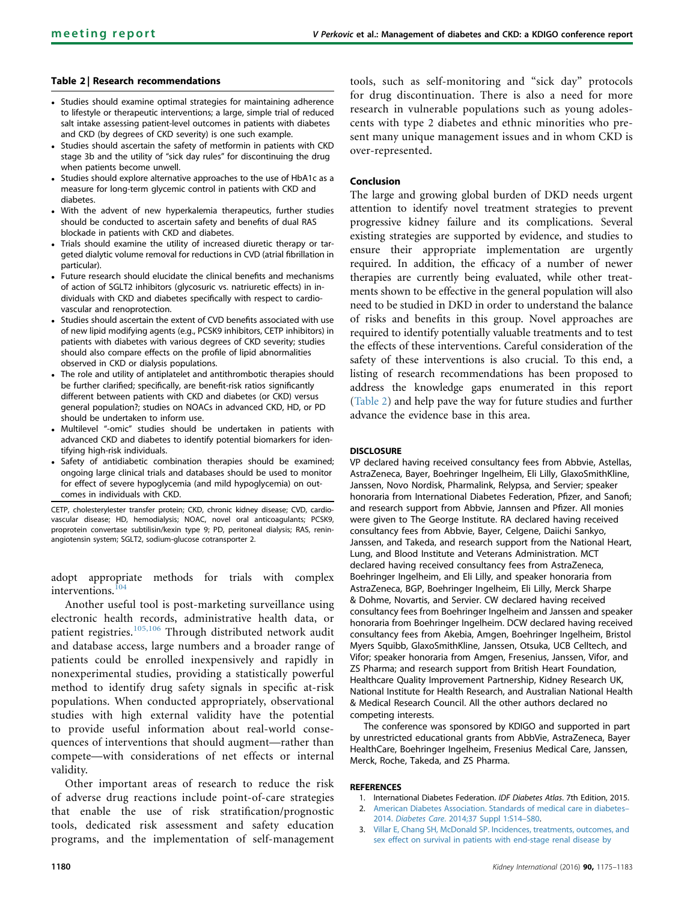#### <span id="page-5-0"></span>Table 2 | Research recommendations

- - Studies should examine optimal strategies for maintaining adherence to lifestyle or therapeutic interventions; a large, simple trial of reduced salt intake assessing patient-level outcomes in patients with diabetes and CKD (by degrees of CKD severity) is one such example.
- Studies should ascertain the safety of metformin in patients with CKD stage 3b and the utility of "sick day rules" for discontinuing the drug when patients become unwell.
- - Studies should explore alternative approaches to the use of HbA1c as a measure for long-term glycemic control in patients with CKD and diabetes.
- - With the advent of new hyperkalemia therapeutics, further studies should be conducted to ascertain safety and benefits of dual RAS blockade in patients with CKD and diabetes.
- Trials should examine the utility of increased diuretic therapy or targeted dialytic volume removal for reductions in CVD (atrial fibrillation in particular).
- - Future research should elucidate the clinical benefits and mechanisms of action of SGLT2 inhibitors (glycosuric vs. natriuretic effects) in individuals with CKD and diabetes specifically with respect to cardiovascular and renoprotection.
- - Studies should ascertain the extent of CVD benefits associated with use of new lipid modifying agents (e.g., PCSK9 inhibitors, CETP inhibitors) in patients with diabetes with various degrees of CKD severity; studies should also compare effects on the profile of lipid abnormalities observed in CKD or dialysis populations.
- - The role and utility of antiplatelet and antithrombotic therapies should be further clarified; specifically, are benefit-risk ratios significantly different between patients with CKD and diabetes (or CKD) versus general population?; studies on NOACs in advanced CKD, HD, or PD should be undertaken to inform use.
- Multilevel "-omic" studies should be undertaken in patients with advanced CKD and diabetes to identify potential biomarkers for identifying high-risk individuals.
- - Safety of antidiabetic combination therapies should be examined; ongoing large clinical trials and databases should be used to monitor for effect of severe hypoglycemia (and mild hypoglycemia) on outcomes in individuals with CKD.

CETP, cholesterylester transfer protein; CKD, chronic kidney disease; CVD, cardiovascular disease; HD, hemodialysis; NOAC, novel oral anticoagulants; PCSK9, proprotein convertase subtilisin/kexin type 9; PD, peritoneal dialysis; RAS, reninangiotensin system; SGLT2, sodium-glucose cotransporter 2.

adopt appropriate methods for trials with complex interventions.<sup>104</sup>

Another useful tool is post-marketing surveillance using electronic health records, administrative health data, or patient registries.<sup>[105,106](#page-8-0)</sup> Through distributed network audit and database access, large numbers and a broader range of patients could be enrolled inexpensively and rapidly in nonexperimental studies, providing a statistically powerful method to identify drug safety signals in specific at-risk populations. When conducted appropriately, observational studies with high external validity have the potential to provide useful information about real-world consequences of interventions that should augment—rather than compete—with considerations of net effects or internal validity.

Other important areas of research to reduce the risk of adverse drug reactions include point-of-care strategies that enable the use of risk stratification/prognostic tools, dedicated risk assessment and safety education programs, and the implementation of self-management tools, such as self-monitoring and "sick day" protocols for drug discontinuation. There is also a need for more research in vulnerable populations such as young adolescents with type 2 diabetes and ethnic minorities who present many unique management issues and in whom CKD is over-represented.

# Conclusion

The large and growing global burden of DKD needs urgent attention to identify novel treatment strategies to prevent progressive kidney failure and its complications. Several existing strategies are supported by evidence, and studies to ensure their appropriate implementation are urgently required. In addition, the efficacy of a number of newer therapies are currently being evaluated, while other treatments shown to be effective in the general population will also need to be studied in DKD in order to understand the balance of risks and benefits in this group. Novel approaches are required to identify potentially valuable treatments and to test the effects of these interventions. Careful consideration of the safety of these interventions is also crucial. To this end, a listing of research recommendations has been proposed to address the knowledge gaps enumerated in this report (Table 2) and help pave the way for future studies and further advance the evidence base in this area.

#### **DISCLOSURE**

VP declared having received consultancy fees from Abbvie, Astellas, AstraZeneca, Bayer, Boehringer Ingelheim, Eli Lilly, GlaxoSmithKline, Janssen, Novo Nordisk, Pharmalink, Relypsa, and Servier; speaker honoraria from International Diabetes Federation, Pfizer, and Sanofi; and research support from Abbvie, Jannsen and Pfizer. All monies were given to The George Institute. RA declared having received consultancy fees from Abbvie, Bayer, Celgene, Daiichi Sankyo, Janssen, and Takeda, and research support from the National Heart, Lung, and Blood Institute and Veterans Administration. MCT declared having received consultancy fees from AstraZeneca, Boehringer Ingelheim, and Eli Lilly, and speaker honoraria from AstraZeneca, BGP, Boehringer Ingelheim, Eli Lilly, Merck Sharpe & Dohme, Novartis, and Servier. CW declared having received consultancy fees from Boehringer Ingelheim and Janssen and speaker honoraria from Boehringer Ingelheim. DCW declared having received consultancy fees from Akebia, Amgen, Boehringer Ingelheim, Bristol Myers Squibb, GlaxoSmithKline, Janssen, Otsuka, UCB Celltech, and Vifor; speaker honoraria from Amgen, Fresenius, Janssen, Vifor, and ZS Pharma; and research support from British Heart Foundation, Healthcare Quality Improvement Partnership, Kidney Research UK, National Institute for Health Research, and Australian National Health & Medical Research Council. All the other authors declared no competing interests.

The conference was sponsored by KDIGO and supported in part by unrestricted educational grants from AbbVie, AstraZeneca, Bayer HealthCare, Boehringer Ingelheim, Fresenius Medical Care, Janssen, Merck, Roche, Takeda, and ZS Pharma.

#### REFERENCES

- 1. International Diabetes Federation. IDF Diabetes Atlas. 7th Edition, 2015.
- 2. [American Diabetes Association. Standards of medical care in diabetes](http://refhub.elsevier.com/S0085-2538(16)30515-4/sref2) 2014. Diabetes Care[. 2014;37 Suppl 1:S14](http://refhub.elsevier.com/S0085-2538(16)30515-4/sref2)–S80.
- 3. [Villar E, Chang SH, McDonald SP. Incidences, treatments, outcomes, and](http://refhub.elsevier.com/S0085-2538(16)30515-4/sref3) [sex effect on survival in patients with end-stage renal disease by](http://refhub.elsevier.com/S0085-2538(16)30515-4/sref3)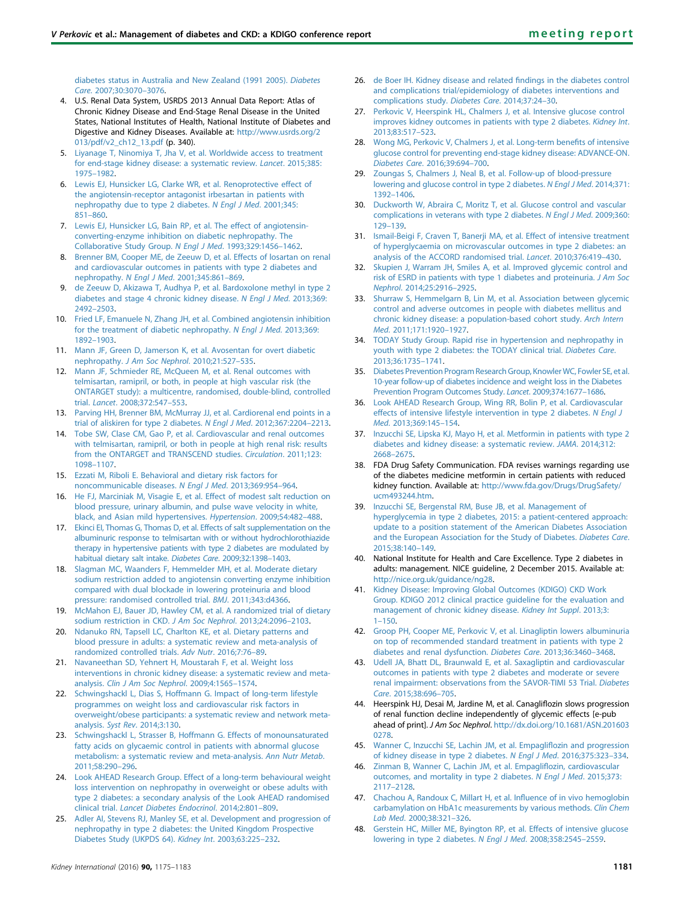<span id="page-6-0"></span>[diabetes status in Australia and New Zealand \(1991 2005\).](http://refhub.elsevier.com/S0085-2538(16)30515-4/sref3) Diabetes Care[. 2007;30:3070](http://refhub.elsevier.com/S0085-2538(16)30515-4/sref3)–3076.

- 4. U.S. Renal Data System, USRDS 2013 Annual Data Report: Atlas of Chronic Kidney Disease and End-Stage Renal Disease in the United States, National Institutes of Health, National Institute of Diabetes and Digestive and Kidney Diseases. Available at: [http://www.usrds.org/2](http://www.usrds.org/2013/pdf/v2_ch12_13.pdf) [013/pdf/v2\\_ch12\\_13.pdf](http://www.usrds.org/2013/pdf/v2_ch12_13.pdf) (p. 340).
- 5. [Liyanage T, Ninomiya T, Jha V, et al. Worldwide access to treatment](http://refhub.elsevier.com/S0085-2538(16)30515-4/sref5) [for end-stage kidney disease: a systematic review.](http://refhub.elsevier.com/S0085-2538(16)30515-4/sref5) Lancet. 2015;385: [1975](http://refhub.elsevier.com/S0085-2538(16)30515-4/sref5)–1982.
- 6. [Lewis EJ, Hunsicker LG, Clarke WR, et al. Renoprotective effect of](http://refhub.elsevier.com/S0085-2538(16)30515-4/sref6) [the angiotensin-receptor antagonist irbesartan in patients with](http://refhub.elsevier.com/S0085-2538(16)30515-4/sref6) [nephropathy due to type 2 diabetes.](http://refhub.elsevier.com/S0085-2538(16)30515-4/sref6) N Engl J Med. 2001;345: 851–[860.](http://refhub.elsevier.com/S0085-2538(16)30515-4/sref6)
- 7. [Lewis EJ, Hunsicker LG, Bain RP, et al. The effect of angiotensin](http://refhub.elsevier.com/S0085-2538(16)30515-4/sref7)[converting-enzyme inhibition on diabetic nephropathy. The](http://refhub.elsevier.com/S0085-2538(16)30515-4/sref7) [Collaborative Study Group.](http://refhub.elsevier.com/S0085-2538(16)30515-4/sref7) N Engl J Med. 1993;329:1456–1462.
- 8. [Brenner BM, Cooper ME, de Zeeuw D, et al. Effects of losartan on renal](http://refhub.elsevier.com/S0085-2538(16)30515-4/sref8) [and cardiovascular outcomes in patients with type 2 diabetes and](http://refhub.elsevier.com/S0085-2538(16)30515-4/sref8) nephropathy. N Engl J Med[. 2001;345:861](http://refhub.elsevier.com/S0085-2538(16)30515-4/sref8)–869.
- 9. [de Zeeuw D, Akizawa T, Audhya P, et al. Bardoxolone methyl in type 2](http://refhub.elsevier.com/S0085-2538(16)30515-4/sref9) [diabetes and stage 4 chronic kidney disease.](http://refhub.elsevier.com/S0085-2538(16)30515-4/sref9) N Engl J Med. 2013;369: [2492](http://refhub.elsevier.com/S0085-2538(16)30515-4/sref9)–2503.
- 10. [Fried LF, Emanuele N, Zhang JH, et al. Combined angiotensin inhibition](http://refhub.elsevier.com/S0085-2538(16)30515-4/sref10) [for the treatment of diabetic nephropathy.](http://refhub.elsevier.com/S0085-2538(16)30515-4/sref10) N Engl J Med. 2013;369: 1892–[1903](http://refhub.elsevier.com/S0085-2538(16)30515-4/sref10).
- 11. [Mann JF, Green D, Jamerson K, et al. Avosentan for overt diabetic](http://refhub.elsevier.com/S0085-2538(16)30515-4/sref11) nephropathy. [J Am Soc Nephrol](http://refhub.elsevier.com/S0085-2538(16)30515-4/sref11). 2010;21:527–535.
- 12. [Mann JF, Schmieder RE, McQueen M, et al. Renal outcomes with](http://refhub.elsevier.com/S0085-2538(16)30515-4/sref12) [telmisartan, ramipril, or both, in people at high vascular risk \(the](http://refhub.elsevier.com/S0085-2538(16)30515-4/sref12) [ONTARGET study\): a multicentre, randomised, double-blind, controlled](http://refhub.elsevier.com/S0085-2538(16)30515-4/sref12) trial. Lancet[. 2008;372:547](http://refhub.elsevier.com/S0085-2538(16)30515-4/sref12)–553.
- 13. [Parving HH, Brenner BM, McMurray JJ, et al. Cardiorenal end points in a](http://refhub.elsevier.com/S0085-2538(16)30515-4/sref13) [trial of aliskiren for type 2 diabetes.](http://refhub.elsevier.com/S0085-2538(16)30515-4/sref13) N Engl J Med. 2012;367:2204–2213.
- 14. [Tobe SW, Clase CM, Gao P, et al. Cardiovascular and renal outcomes](http://refhub.elsevier.com/S0085-2538(16)30515-4/sref14) [with telmisartan, ramipril, or both in people at high renal risk: results](http://refhub.elsevier.com/S0085-2538(16)30515-4/sref14) [from the ONTARGET and TRANSCEND studies.](http://refhub.elsevier.com/S0085-2538(16)30515-4/sref14) Circulation. 2011;123: 1098–[1107](http://refhub.elsevier.com/S0085-2538(16)30515-4/sref14).
- 15. [Ezzati M, Riboli E. Behavioral and dietary risk factors for](http://refhub.elsevier.com/S0085-2538(16)30515-4/sref15) [noncommunicable diseases.](http://refhub.elsevier.com/S0085-2538(16)30515-4/sref15) N Engl J Med. 2013;369:954–964.
- 16. [He FJ, Marciniak M, Visagie E, et al. Effect of modest salt reduction on](http://refhub.elsevier.com/S0085-2538(16)30515-4/sref16) [blood pressure, urinary albumin, and pulse wave velocity in white,](http://refhub.elsevier.com/S0085-2538(16)30515-4/sref16) [black, and Asian mild hypertensives.](http://refhub.elsevier.com/S0085-2538(16)30515-4/sref16) Hypertension. 2009;54:482–488.
- 17. [Ekinci EI, Thomas G, Thomas D, et al. Effects of salt supplementation on the](http://refhub.elsevier.com/S0085-2538(16)30515-4/sref17) [albuminuric response to telmisartan with or without hydrochlorothiazide](http://refhub.elsevier.com/S0085-2538(16)30515-4/sref17) [therapy in hypertensive patients with type 2 diabetes are modulated by](http://refhub.elsevier.com/S0085-2538(16)30515-4/sref17) [habitual dietary salt intake.](http://refhub.elsevier.com/S0085-2538(16)30515-4/sref17) Diabetes Care. 2009;32:1398–1403.
- 18. [Slagman MC, Waanders F, Hemmelder MH, et al. Moderate dietary](http://refhub.elsevier.com/S0085-2538(16)30515-4/sref18) [sodium restriction added to angiotensin converting enzyme inhibition](http://refhub.elsevier.com/S0085-2538(16)30515-4/sref18) [compared with dual blockade in lowering proteinuria and blood](http://refhub.elsevier.com/S0085-2538(16)30515-4/sref18) [pressure: randomised controlled trial.](http://refhub.elsevier.com/S0085-2538(16)30515-4/sref18) BMJ. 2011;343:d4366.
- 19. [McMahon EJ, Bauer JD, Hawley CM, et al. A randomized trial of dietary](http://refhub.elsevier.com/S0085-2538(16)30515-4/sref19) [sodium restriction in CKD.](http://refhub.elsevier.com/S0085-2538(16)30515-4/sref19) J Am Soc Nephrol. 2013;24:2096–2103.
- 20. [Ndanuko RN, Tapsell LC, Charlton KE, et al. Dietary patterns and](http://refhub.elsevier.com/S0085-2538(16)30515-4/sref20) [blood pressure in adults: a systematic review and meta-analysis of](http://refhub.elsevier.com/S0085-2538(16)30515-4/sref20) [randomized controlled trials.](http://refhub.elsevier.com/S0085-2538(16)30515-4/sref20) Adv Nutr. 2016;7:76–89.
- 21. [Navaneethan SD, Yehnert H, Moustarah F, et al. Weight loss](http://refhub.elsevier.com/S0085-2538(16)30515-4/sref21) [interventions in chronic kidney disease: a systematic review and meta](http://refhub.elsevier.com/S0085-2538(16)30515-4/sref21)analysis. [Clin J Am Soc Nephrol](http://refhub.elsevier.com/S0085-2538(16)30515-4/sref21). 2009;4:1565–1574.
- 22. [Schwingshackl L, Dias S, Hoffmann G. Impact of long-term lifestyle](http://refhub.elsevier.com/S0085-2538(16)30515-4/sref22) [programmes on weight loss and cardiovascular risk factors in](http://refhub.elsevier.com/S0085-2538(16)30515-4/sref22) [overweight/obese participants: a systematic review and network meta](http://refhub.elsevier.com/S0085-2538(16)30515-4/sref22)analysis. Syst Rev[. 2014;3:130](http://refhub.elsevier.com/S0085-2538(16)30515-4/sref22).
- 23. [Schwingshackl L, Strasser B, Hoffmann G. Effects of monounsaturated](http://refhub.elsevier.com/S0085-2538(16)30515-4/sref23) [fatty acids on glycaemic control in patients with abnormal glucose](http://refhub.elsevier.com/S0085-2538(16)30515-4/sref23) [metabolism: a systematic review and meta-analysis.](http://refhub.elsevier.com/S0085-2538(16)30515-4/sref23) Ann Nutr Metab. [2011;58:290](http://refhub.elsevier.com/S0085-2538(16)30515-4/sref23)–296.
- 24. [Look AHEAD Research Group. Effect of a long-term behavioural weight](http://refhub.elsevier.com/S0085-2538(16)30515-4/sref24) [loss intervention on nephropathy in overweight or obese adults with](http://refhub.elsevier.com/S0085-2538(16)30515-4/sref24) [type 2 diabetes: a secondary analysis of the Look AHEAD randomised](http://refhub.elsevier.com/S0085-2538(16)30515-4/sref24) clinical trial. [Lancet Diabetes Endocrinol](http://refhub.elsevier.com/S0085-2538(16)30515-4/sref24). 2014;2:801–809.
- 25. [Adler AI, Stevens RJ, Manley SE, et al. Development and progression of](http://refhub.elsevier.com/S0085-2538(16)30515-4/sref25) [nephropathy in type 2 diabetes: the United Kingdom Prospective](http://refhub.elsevier.com/S0085-2538(16)30515-4/sref25) [Diabetes Study \(UKPDS 64\).](http://refhub.elsevier.com/S0085-2538(16)30515-4/sref25) Kidney Int. 2003;63:225–232.
- 26. [de Boer IH. Kidney disease and related](http://refhub.elsevier.com/S0085-2538(16)30515-4/sref26) findings in the diabetes control [and complications trial/epidemiology of diabetes interventions and](http://refhub.elsevier.com/S0085-2538(16)30515-4/sref26) [complications study.](http://refhub.elsevier.com/S0085-2538(16)30515-4/sref26) Diabetes Care. 2014;37:24–30.
- 27. [Perkovic V, Heerspink HL, Chalmers J, et al. Intensive glucose control](http://refhub.elsevier.com/S0085-2538(16)30515-4/sref27) [improves kidney outcomes in patients with type 2 diabetes.](http://refhub.elsevier.com/S0085-2538(16)30515-4/sref27) Kidney Int. [2013;83:517](http://refhub.elsevier.com/S0085-2538(16)30515-4/sref27)–523.
- 28. [Wong MG, Perkovic V, Chalmers J, et al. Long-term bene](http://refhub.elsevier.com/S0085-2538(16)30515-4/sref28)fits of intensive [glucose control for preventing end-stage kidney disease: ADVANCE-ON.](http://refhub.elsevier.com/S0085-2538(16)30515-4/sref28) [Diabetes Care](http://refhub.elsevier.com/S0085-2538(16)30515-4/sref28). 2016;39:694–700.
- 29. [Zoungas S, Chalmers J, Neal B, et al. Follow-up of blood-pressure](http://refhub.elsevier.com/S0085-2538(16)30515-4/sref29) [lowering and glucose control in type 2 diabetes.](http://refhub.elsevier.com/S0085-2538(16)30515-4/sref29) N Engl J Med. 2014;371: 1392–[1406.](http://refhub.elsevier.com/S0085-2538(16)30515-4/sref29)
- 30. [Duckworth W, Abraira C, Moritz T, et al. Glucose control and vascular](http://refhub.elsevier.com/S0085-2538(16)30515-4/sref30) [complications in veterans with type 2 diabetes.](http://refhub.elsevier.com/S0085-2538(16)30515-4/sref30) N Engl J Med. 2009;360: 129–[139.](http://refhub.elsevier.com/S0085-2538(16)30515-4/sref30)
- 31. [Ismail-Beigi F, Craven T, Banerji MA, et al. Effect of intensive treatment](http://refhub.elsevier.com/S0085-2538(16)30515-4/sref31) [of hyperglycaemia on microvascular outcomes in type 2 diabetes: an](http://refhub.elsevier.com/S0085-2538(16)30515-4/sref31) [analysis of the ACCORD randomised trial.](http://refhub.elsevier.com/S0085-2538(16)30515-4/sref31) Lancet. 2010;376:419–430.
- 32. [Skupien J, Warram JH, Smiles A, et al. Improved glycemic control and](http://refhub.elsevier.com/S0085-2538(16)30515-4/sref32) [risk of ESRD in patients with type 1 diabetes and proteinuria.](http://refhub.elsevier.com/S0085-2538(16)30515-4/sref32) J Am Soc Nephrol[. 2014;25:2916](http://refhub.elsevier.com/S0085-2538(16)30515-4/sref32)–2925.
- 33. [Shurraw S, Hemmelgarn B, Lin M, et al. Association between glycemic](http://refhub.elsevier.com/S0085-2538(16)30515-4/sref33) [control and adverse outcomes in people with diabetes mellitus and](http://refhub.elsevier.com/S0085-2538(16)30515-4/sref33) [chronic kidney disease: a population-based cohort study.](http://refhub.elsevier.com/S0085-2538(16)30515-4/sref33) Arch Intern Med[. 2011;171:1920](http://refhub.elsevier.com/S0085-2538(16)30515-4/sref33)–1927.
- 34. [TODAY Study Group. Rapid rise in hypertension and nephropathy in](http://refhub.elsevier.com/S0085-2538(16)30515-4/sref34) [youth with type 2 diabetes: the TODAY clinical trial.](http://refhub.elsevier.com/S0085-2538(16)30515-4/sref34) Diabetes Care. [2013;36:1735](http://refhub.elsevier.com/S0085-2538(16)30515-4/sref34)–1741.
- 35. [Diabetes Prevention Program Research Group, Knowler WC, Fowler SE, et al.](http://refhub.elsevier.com/S0085-2538(16)30515-4/sref35) [10-year follow-up of diabetes incidence and weight loss in the Diabetes](http://refhub.elsevier.com/S0085-2538(16)30515-4/sref35) [Prevention Program Outcomes Study.](http://refhub.elsevier.com/S0085-2538(16)30515-4/sref35) Lancet. 2009;374:1677–1686.
- 36. [Look AHEAD Research Group, Wing RR, Bolin P, et al. Cardiovascular](http://refhub.elsevier.com/S0085-2538(16)30515-4/sref36) [effects of intensive lifestyle intervention in type 2 diabetes.](http://refhub.elsevier.com/S0085-2538(16)30515-4/sref36) N Engl J Med[. 2013;369:145](http://refhub.elsevier.com/S0085-2538(16)30515-4/sref36)–154.
- 37. [Inzucchi SE, Lipska KJ, Mayo H, et al. Metformin in patients with type 2](http://refhub.elsevier.com/S0085-2538(16)30515-4/sref37) [diabetes and kidney disease: a systematic review.](http://refhub.elsevier.com/S0085-2538(16)30515-4/sref37) JAMA. 2014;312: 2668–[2675.](http://refhub.elsevier.com/S0085-2538(16)30515-4/sref37)
- 38. FDA Drug Safety Communication. FDA revises warnings regarding use of the diabetes medicine metformin in certain patients with reduced kidney function. Available at: [http://www.fda.gov/Drugs/DrugSafety/](http://www.fda.gov/Drugs/DrugSafety/ucm493244.htm) [ucm493244.htm](http://www.fda.gov/Drugs/DrugSafety/ucm493244.htm).
- 39. [Inzucchi SE, Bergenstal RM, Buse JB, et al. Management of](http://refhub.elsevier.com/S0085-2538(16)30515-4/sref39) [hyperglycemia in type 2 diabetes, 2015: a patient-centered approach:](http://refhub.elsevier.com/S0085-2538(16)30515-4/sref39) [update to a position statement of the American Diabetes Association](http://refhub.elsevier.com/S0085-2538(16)30515-4/sref39) [and the European Association for the Study of Diabetes.](http://refhub.elsevier.com/S0085-2538(16)30515-4/sref39) Diabetes Care. [2015;38:140](http://refhub.elsevier.com/S0085-2538(16)30515-4/sref39)–149.
- 40. National Institute for Health and Care Excellence. Type 2 diabetes in adults: management. NICE guideline, 2 December 2015. Available at: [http://nice.org.uk/guidance/ng28.](http://nice.org.uk/guidance/ng28)
- 41. [Kidney Disease: Improving Global Outcomes \(KDIGO\) CKD Work](http://refhub.elsevier.com/S0085-2538(16)30515-4/sref41) [Group. KDIGO 2012 clinical practice guideline for the evaluation and](http://refhub.elsevier.com/S0085-2538(16)30515-4/sref41) [management of chronic kidney disease.](http://refhub.elsevier.com/S0085-2538(16)30515-4/sref41) Kidney Int Suppl. 2013;3: 1–[150](http://refhub.elsevier.com/S0085-2538(16)30515-4/sref41).
- 42. [Groop PH, Cooper ME, Perkovic V, et al. Linagliptin lowers albuminuria](http://refhub.elsevier.com/S0085-2538(16)30515-4/sref42) [on top of recommended standard treatment in patients with type 2](http://refhub.elsevier.com/S0085-2538(16)30515-4/sref42) [diabetes and renal dysfunction.](http://refhub.elsevier.com/S0085-2538(16)30515-4/sref42) Diabetes Care. 2013;36:3460–3468.
- 43. [Udell JA, Bhatt DL, Braunwald E, et al. Saxagliptin and cardiovascular](http://refhub.elsevier.com/S0085-2538(16)30515-4/sref43) [outcomes in patients with type 2 diabetes and moderate or severe](http://refhub.elsevier.com/S0085-2538(16)30515-4/sref43) [renal impairment: observations from the SAVOR-TIMI 53 Trial.](http://refhub.elsevier.com/S0085-2538(16)30515-4/sref43) Diabetes Care[. 2015;38:696](http://refhub.elsevier.com/S0085-2538(16)30515-4/sref43)–705.
- 44. Heerspink HJ, Desai M, Jardine M, et al. Canagliflozin slows progression of renal function decline independently of glycemic effects [e-pub ahead of print]. J Am Soc Nephrol. [http://dx.doi.org/10.1681/ASN.201603](http://dx.doi.org/10.1681/ASN.2016030278) [0278.](http://dx.doi.org/10.1681/ASN.2016030278)
- 45. [Wanner C, Inzucchi SE, Lachin JM, et al. Empagli](http://refhub.elsevier.com/S0085-2538(16)30515-4/sref45)flozin and progression [of kidney disease in type 2 diabetes.](http://refhub.elsevier.com/S0085-2538(16)30515-4/sref45) N Engl J Med. 2016;375:323–334.
- 46. [Zinman B, Wanner C, Lachin JM, et al. Empagli](http://refhub.elsevier.com/S0085-2538(16)30515-4/sref46)flozin, cardiovascular [outcomes, and mortality in type 2 diabetes.](http://refhub.elsevier.com/S0085-2538(16)30515-4/sref46) N Engl J Med. 2015;373: 2117–[2128.](http://refhub.elsevier.com/S0085-2538(16)30515-4/sref46)
- 47. [Chachou A, Randoux C, Millart H, et al. In](http://refhub.elsevier.com/S0085-2538(16)30515-4/sref47)fluence of in vivo hemoglobin [carbamylation on HbA1c measurements by various methods.](http://refhub.elsevier.com/S0085-2538(16)30515-4/sref47) Clin Chem Lab Med[. 2000;38:321](http://refhub.elsevier.com/S0085-2538(16)30515-4/sref47)–326.
- 48. [Gerstein HC, Miller ME, Byington RP, et al. Effects of intensive glucose](http://refhub.elsevier.com/S0085-2538(16)30515-4/sref48) [lowering in type 2 diabetes.](http://refhub.elsevier.com/S0085-2538(16)30515-4/sref48) N Engl J Med. 2008;358:2545–2559.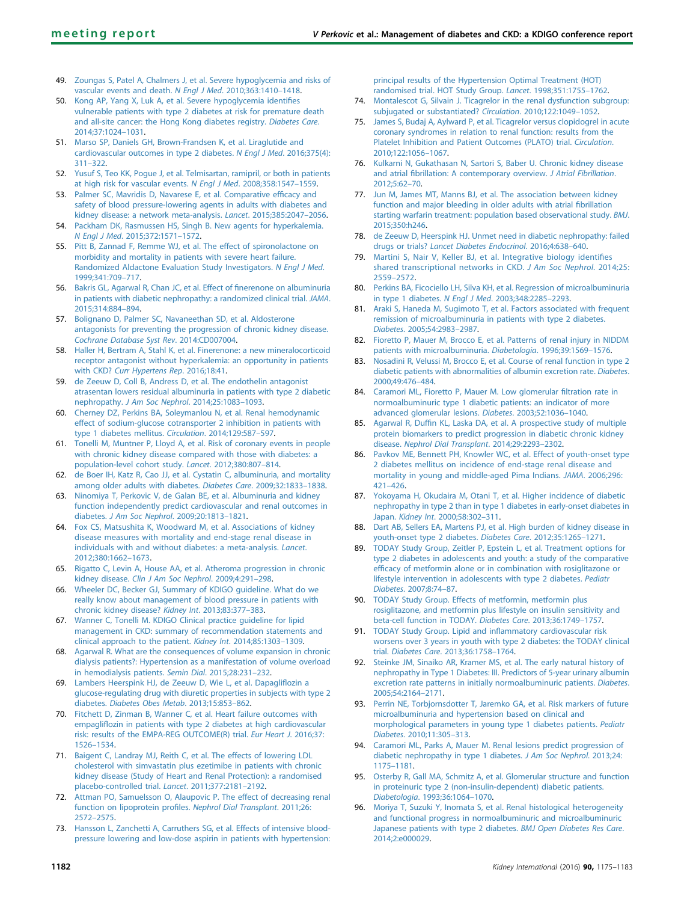- <span id="page-7-0"></span>49. [Zoungas S, Patel A, Chalmers J, et al. Severe hypoglycemia and risks of](http://refhub.elsevier.com/S0085-2538(16)30515-4/sref49) [vascular events and death.](http://refhub.elsevier.com/S0085-2538(16)30515-4/sref49) N Engl J Med. 2010;363:1410–1418.
- 50. [Kong AP, Yang X, Luk A, et al. Severe hypoglycemia identi](http://refhub.elsevier.com/S0085-2538(16)30515-4/sref50)fies [vulnerable patients with type 2 diabetes at risk for premature death](http://refhub.elsevier.com/S0085-2538(16)30515-4/sref50) [and all-site cancer: the Hong Kong diabetes registry.](http://refhub.elsevier.com/S0085-2538(16)30515-4/sref50) Diabetes Care. [2014;37:1024](http://refhub.elsevier.com/S0085-2538(16)30515-4/sref50)–1031.
- 51. [Marso SP, Daniels GH, Brown-Frandsen K, et al. Liraglutide and](http://refhub.elsevier.com/S0085-2538(16)30515-4/sref51) [cardiovascular outcomes in type 2 diabetes.](http://refhub.elsevier.com/S0085-2538(16)30515-4/sref51) N Engl J Med. 2016;375(4): [311](http://refhub.elsevier.com/S0085-2538(16)30515-4/sref51)–322.
- 52. [Yusuf S, Teo KK, Pogue J, et al. Telmisartan, ramipril, or both in patients](http://refhub.elsevier.com/S0085-2538(16)30515-4/sref52) [at high risk for vascular events.](http://refhub.elsevier.com/S0085-2538(16)30515-4/sref52) N Engl J Med. 2008;358:1547–1559.
- 53. [Palmer SC, Mavridis D, Navarese E, et al. Comparative ef](http://refhub.elsevier.com/S0085-2538(16)30515-4/sref53)ficacy and [safety of blood pressure-lowering agents in adults with diabetes and](http://refhub.elsevier.com/S0085-2538(16)30515-4/sref53) [kidney disease: a network meta-analysis.](http://refhub.elsevier.com/S0085-2538(16)30515-4/sref53) Lancet. 2015;385:2047–2056.
- 54. [Packham DK, Rasmussen HS, Singh B. New agents for hyperkalemia.](http://refhub.elsevier.com/S0085-2538(16)30515-4/sref54) N Engl J Med[. 2015;372:1571](http://refhub.elsevier.com/S0085-2538(16)30515-4/sref54)–1572.
- 55. [Pitt B, Zannad F, Remme WJ, et al. The effect of spironolactone on](http://refhub.elsevier.com/S0085-2538(16)30515-4/sref55) [morbidity and mortality in patients with severe heart failure.](http://refhub.elsevier.com/S0085-2538(16)30515-4/sref55) [Randomized Aldactone Evaluation Study Investigators.](http://refhub.elsevier.com/S0085-2538(16)30515-4/sref55) N Engl J Med. [1999;341:709](http://refhub.elsevier.com/S0085-2538(16)30515-4/sref55)–717.
- 56. [Bakris GL, Agarwal R, Chan JC, et al. Effect of](http://refhub.elsevier.com/S0085-2538(16)30515-4/sref56) finerenone on albuminuria [in patients with diabetic nephropathy: a randomized clinical trial.](http://refhub.elsevier.com/S0085-2538(16)30515-4/sref56) JAMA. [2015;314:884](http://refhub.elsevier.com/S0085-2538(16)30515-4/sref56)–894.
- 57. [Bolignano D, Palmer SC, Navaneethan SD, et al. Aldosterone](http://refhub.elsevier.com/S0085-2538(16)30515-4/sref57) [antagonists for preventing the progression of chronic kidney disease.](http://refhub.elsevier.com/S0085-2538(16)30515-4/sref57) [Cochrane Database Syst Rev](http://refhub.elsevier.com/S0085-2538(16)30515-4/sref57). 2014:CD007004.
- 58. [Haller H, Bertram A, Stahl K, et al. Finerenone: a new mineralocorticoid](http://refhub.elsevier.com/S0085-2538(16)30515-4/sref58) [receptor antagonist without hyperkalemia: an opportunity in patients](http://refhub.elsevier.com/S0085-2538(16)30515-4/sref58) with CKD? [Curr Hypertens Rep](http://refhub.elsevier.com/S0085-2538(16)30515-4/sref58). 2016;18:41.
- 59. [de Zeeuw D, Coll B, Andress D, et al. The endothelin antagonist](http://refhub.elsevier.com/S0085-2538(16)30515-4/sref59) [atrasentan lowers residual albuminuria in patients with type 2 diabetic](http://refhub.elsevier.com/S0085-2538(16)30515-4/sref59) nephropathy. [J Am Soc Nephrol](http://refhub.elsevier.com/S0085-2538(16)30515-4/sref59). 2014;25:1083–1093.
- 60. [Cherney DZ, Perkins BA, Soleymanlou N, et al. Renal hemodynamic](http://refhub.elsevier.com/S0085-2538(16)30515-4/sref60) [effect of sodium-glucose cotransporter 2 inhibition in patients with](http://refhub.elsevier.com/S0085-2538(16)30515-4/sref60) [type 1 diabetes mellitus.](http://refhub.elsevier.com/S0085-2538(16)30515-4/sref60) Circulation. 2014;129:587–597.
- 61. [Tonelli M, Muntner P, Lloyd A, et al. Risk of coronary events in people](http://refhub.elsevier.com/S0085-2538(16)30515-4/sref61) [with chronic kidney disease compared with those with diabetes: a](http://refhub.elsevier.com/S0085-2538(16)30515-4/sref61) [population-level cohort study.](http://refhub.elsevier.com/S0085-2538(16)30515-4/sref61) Lancet. 2012;380:807–814.
- 62. [de Boer IH, Katz R, Cao JJ, et al. Cystatin C, albuminuria, and mortality](http://refhub.elsevier.com/S0085-2538(16)30515-4/sref62) [among older adults with diabetes.](http://refhub.elsevier.com/S0085-2538(16)30515-4/sref62) Diabetes Care. 2009;32:1833–1838.
- 63. [Ninomiya T, Perkovic V, de Galan BE, et al. Albuminuria and kidney](http://refhub.elsevier.com/S0085-2538(16)30515-4/sref63) [function independently predict cardiovascular and renal outcomes in](http://refhub.elsevier.com/S0085-2538(16)30515-4/sref63) diabetes. [J Am Soc Nephrol](http://refhub.elsevier.com/S0085-2538(16)30515-4/sref63). 2009;20:1813–1821.
- 64. [Fox CS, Matsushita K, Woodward M, et al. Associations of kidney](http://refhub.elsevier.com/S0085-2538(16)30515-4/sref64) [disease measures with mortality and end-stage renal disease in](http://refhub.elsevier.com/S0085-2538(16)30515-4/sref64) [individuals with and without diabetes: a meta-analysis.](http://refhub.elsevier.com/S0085-2538(16)30515-4/sref64) Lancet. [2012;380:1662](http://refhub.elsevier.com/S0085-2538(16)30515-4/sref64)–1673.
- 65. [Rigatto C, Levin A, House AA, et al. Atheroma progression in chronic](http://refhub.elsevier.com/S0085-2538(16)30515-4/sref65) kidney disease. [Clin J Am Soc Nephrol](http://refhub.elsevier.com/S0085-2538(16)30515-4/sref65). 2009;4:291–298.
- 66. [Wheeler DC, Becker GJ, Summary of KDIGO guideline. What do we](http://refhub.elsevier.com/S0085-2538(16)30515-4/sref66) [really know about management of blood pressure in patients with](http://refhub.elsevier.com/S0085-2538(16)30515-4/sref66) [chronic kidney disease?](http://refhub.elsevier.com/S0085-2538(16)30515-4/sref66) Kidney Int. 2013;83:377–383.
- 67. [Wanner C, Tonelli M. KDIGO Clinical practice guideline for lipid](http://refhub.elsevier.com/S0085-2538(16)30515-4/sref67) [management in CKD: summary of recommendation statements and](http://refhub.elsevier.com/S0085-2538(16)30515-4/sref67) [clinical approach to the patient.](http://refhub.elsevier.com/S0085-2538(16)30515-4/sref67) Kidney Int. 2014;85:1303–1309.
- 68. [Agarwal R. What are the consequences of volume expansion in chronic](http://refhub.elsevier.com/S0085-2538(16)30515-4/sref68) [dialysis patients?: Hypertension as a manifestation of volume overload](http://refhub.elsevier.com/S0085-2538(16)30515-4/sref68) [in hemodialysis patients.](http://refhub.elsevier.com/S0085-2538(16)30515-4/sref68) Semin Dial. 2015;28:231–232.
- 69. [Lambers Heerspink HJ, de Zeeuw D, Wie L, et al. Dapagli](http://refhub.elsevier.com/S0085-2538(16)30515-4/sref69)flozin a [glucose-regulating drug with diuretic properties in subjects with type 2](http://refhub.elsevier.com/S0085-2538(16)30515-4/sref69) diabetes. [Diabetes Obes Metab](http://refhub.elsevier.com/S0085-2538(16)30515-4/sref69). 2013;15:853–862.
- 70. [Fitchett D, Zinman B, Wanner C, et al. Heart failure outcomes with](http://refhub.elsevier.com/S0085-2538(16)30515-4/sref70) empaglifl[ozin in patients with type 2 diabetes at high cardiovascular](http://refhub.elsevier.com/S0085-2538(16)30515-4/sref70) [risk: results of the EMPA-REG OUTCOME\(R\) trial.](http://refhub.elsevier.com/S0085-2538(16)30515-4/sref70) Eur Heart J. 2016;37: 1526–[1534](http://refhub.elsevier.com/S0085-2538(16)30515-4/sref70).
- 71. [Baigent C, Landray MJ, Reith C, et al. The effects of lowering LDL](http://refhub.elsevier.com/S0085-2538(16)30515-4/sref71) [cholesterol with simvastatin plus ezetimibe in patients with chronic](http://refhub.elsevier.com/S0085-2538(16)30515-4/sref71) [kidney disease \(Study of Heart and Renal Protection\): a randomised](http://refhub.elsevier.com/S0085-2538(16)30515-4/sref71) [placebo-controlled trial.](http://refhub.elsevier.com/S0085-2538(16)30515-4/sref71) Lancet. 2011;377:2181–2192.
- 72. [Attman PO, Samuelsson O, Alaupovic P. The effect of decreasing renal](http://refhub.elsevier.com/S0085-2538(16)30515-4/sref72) [function on lipoprotein pro](http://refhub.elsevier.com/S0085-2538(16)30515-4/sref72)files. Nephrol Dial Transplant. 2011;26: 2572–[2575](http://refhub.elsevier.com/S0085-2538(16)30515-4/sref72).
- 73. [Hansson L, Zanchetti A, Carruthers SG, et al. Effects of intensive blood](http://refhub.elsevier.com/S0085-2538(16)30515-4/sref73)[pressure lowering and low-dose aspirin in patients with hypertension:](http://refhub.elsevier.com/S0085-2538(16)30515-4/sref73)

[principal results of the Hypertension Optimal Treatment \(HOT\)](http://refhub.elsevier.com/S0085-2538(16)30515-4/sref73) [randomised trial. HOT Study Group.](http://refhub.elsevier.com/S0085-2538(16)30515-4/sref73) Lancet. 1998;351:1755–1762.

- 74. [Montalescot G, Silvain J. Ticagrelor in the renal dysfunction subgroup:](http://refhub.elsevier.com/S0085-2538(16)30515-4/sref74) [subjugated or substantiated?](http://refhub.elsevier.com/S0085-2538(16)30515-4/sref74) Circulation. 2010;122:1049–1052.
- 75. [James S, Budaj A, Aylward P, et al. Ticagrelor versus clopidogrel in acute](http://refhub.elsevier.com/S0085-2538(16)30515-4/sref75) [coronary syndromes in relation to renal function: results from the](http://refhub.elsevier.com/S0085-2538(16)30515-4/sref75) [Platelet Inhibition and Patient Outcomes \(PLATO\) trial.](http://refhub.elsevier.com/S0085-2538(16)30515-4/sref75) Circulation. [2010;122:1056](http://refhub.elsevier.com/S0085-2538(16)30515-4/sref75)–1067.
- 76. [Kulkarni N, Gukathasan N, Sartori S, Baber U. Chronic kidney disease](http://refhub.elsevier.com/S0085-2538(16)30515-4/sref76) and atrial fi[brillation: A contemporary overview.](http://refhub.elsevier.com/S0085-2538(16)30515-4/sref76) J Atrial Fibrillation. [2012;5:62](http://refhub.elsevier.com/S0085-2538(16)30515-4/sref76)–70.
- 77. [Jun M, James MT, Manns BJ, et al. The association between kidney](http://refhub.elsevier.com/S0085-2538(16)30515-4/sref77) [function and major bleeding in older adults with atrial](http://refhub.elsevier.com/S0085-2538(16)30515-4/sref77) fibrillation [starting warfarin treatment: population based observational study.](http://refhub.elsevier.com/S0085-2538(16)30515-4/sref77) BMJ. [2015;350:h246.](http://refhub.elsevier.com/S0085-2538(16)30515-4/sref77)
- 78. [de Zeeuw D, Heerspink HJ. Unmet need in diabetic nephropathy: failed](http://refhub.elsevier.com/S0085-2538(16)30515-4/sref78) drugs or trials? [Lancet Diabetes Endocrinol](http://refhub.elsevier.com/S0085-2538(16)30515-4/sref78). 2016;4:638–640.
- 79. [Martini S, Nair V, Keller BJ, et al. Integrative biology identi](http://refhub.elsevier.com/S0085-2538(16)30515-4/sref79)fies [shared transcriptional networks in CKD.](http://refhub.elsevier.com/S0085-2538(16)30515-4/sref79) J Am Soc Nephrol. 2014;25: 2559–[2572.](http://refhub.elsevier.com/S0085-2538(16)30515-4/sref79)
- 80. [Perkins BA, Ficociello LH, Silva KH, et al. Regression of microalbuminuria](http://refhub.elsevier.com/S0085-2538(16)30515-4/sref80) [in type 1 diabetes.](http://refhub.elsevier.com/S0085-2538(16)30515-4/sref80) N Engl J Med. 2003;348:2285–2293.
- 81. [Araki S, Haneda M, Sugimoto T, et al. Factors associated with frequent](http://refhub.elsevier.com/S0085-2538(16)30515-4/sref81) [remission of microalbuminuria in patients with type 2 diabetes.](http://refhub.elsevier.com/S0085-2538(16)30515-4/sref81) Diabetes[. 2005;54:2983](http://refhub.elsevier.com/S0085-2538(16)30515-4/sref81)–2987.
- 82. [Fioretto P, Mauer M, Brocco E, et al. Patterns of renal injury in NIDDM](http://refhub.elsevier.com/S0085-2538(16)30515-4/sref82) [patients with microalbuminuria.](http://refhub.elsevier.com/S0085-2538(16)30515-4/sref82) Diabetologia. 1996;39:1569–1576.
- 83. [Nosadini R, Velussi M, Brocco E, et al. Course of renal function in type 2](http://refhub.elsevier.com/S0085-2538(16)30515-4/sref83) [diabetic patients with abnormalities of albumin excretion rate.](http://refhub.elsevier.com/S0085-2538(16)30515-4/sref83) Diabetes. [2000;49:476](http://refhub.elsevier.com/S0085-2538(16)30515-4/sref83)–484.
- 84. [Caramori ML, Fioretto P, Mauer M. Low glomerular](http://refhub.elsevier.com/S0085-2538(16)30515-4/sref84) filtration rate in [normoalbuminuric type 1 diabetic patients: an indicator of more](http://refhub.elsevier.com/S0085-2538(16)30515-4/sref84) [advanced glomerular lesions.](http://refhub.elsevier.com/S0085-2538(16)30515-4/sref84) Diabetes. 2003;52:1036–1040.
- 85. Agarwal R, Duffi[n KL, Laska DA, et al. A prospective study of multiple](http://refhub.elsevier.com/S0085-2538(16)30515-4/sref85) [protein biomarkers to predict progression in diabetic chronic kidney](http://refhub.elsevier.com/S0085-2538(16)30515-4/sref85) disease. [Nephrol Dial Transplant](http://refhub.elsevier.com/S0085-2538(16)30515-4/sref85). 2014;29:2293–2302.
- 86. [Pavkov ME, Bennett PH, Knowler WC, et al. Effect of youth-onset type](http://refhub.elsevier.com/S0085-2538(16)30515-4/sref86) [2 diabetes mellitus on incidence of end-stage renal disease and](http://refhub.elsevier.com/S0085-2538(16)30515-4/sref86) [mortality in young and middle-aged Pima Indians.](http://refhub.elsevier.com/S0085-2538(16)30515-4/sref86) JAMA. 2006;296: [421](http://refhub.elsevier.com/S0085-2538(16)30515-4/sref86)–426.
- 87. [Yokoyama H, Okudaira M, Otani T, et al. Higher incidence of diabetic](http://refhub.elsevier.com/S0085-2538(16)30515-4/sref87) [nephropathy in type 2 than in type 1 diabetes in early-onset diabetes in](http://refhub.elsevier.com/S0085-2538(16)30515-4/sref87) Japan. Kidney Int[. 2000;58:302](http://refhub.elsevier.com/S0085-2538(16)30515-4/sref87)–311.
- 88. [Dart AB, Sellers EA, Martens PJ, et al. High burden of kidney disease in](http://refhub.elsevier.com/S0085-2538(16)30515-4/sref88) [youth-onset type 2 diabetes.](http://refhub.elsevier.com/S0085-2538(16)30515-4/sref88) Diabetes Care. 2012;35:1265–1271.
- 89. [TODAY Study Group, Zeitler P, Epstein L, et al. Treatment options for](http://refhub.elsevier.com/S0085-2538(16)30515-4/sref89) [type 2 diabetes in adolescents and youth: a study of the comparative](http://refhub.elsevier.com/S0085-2538(16)30515-4/sref89) effi[cacy of metformin alone or in combination with rosiglitazone or](http://refhub.elsevier.com/S0085-2538(16)30515-4/sref89) [lifestyle intervention in adolescents with type 2 diabetes.](http://refhub.elsevier.com/S0085-2538(16)30515-4/sref89) Pediatr Diabetes[. 2007;8:74](http://refhub.elsevier.com/S0085-2538(16)30515-4/sref89)–87.
- 90. [TODAY Study Group. Effects of metformin, metformin plus](http://refhub.elsevier.com/S0085-2538(16)30515-4/sref90) [rosiglitazone, and metformin plus lifestyle on insulin sensitivity and](http://refhub.elsevier.com/S0085-2538(16)30515-4/sref90) [beta-cell function in TODAY.](http://refhub.elsevier.com/S0085-2538(16)30515-4/sref90) Diabetes Care. 2013;36:1749–1757.
- 91. [TODAY Study Group. Lipid and in](http://refhub.elsevier.com/S0085-2538(16)30515-4/sref91)flammatory cardiovascular risk [worsens over 3 years in youth with type 2 diabetes: the TODAY clinical](http://refhub.elsevier.com/S0085-2538(16)30515-4/sref91) trial. Diabetes Care[. 2013;36:1758](http://refhub.elsevier.com/S0085-2538(16)30515-4/sref91)–1764.
- 92. [Steinke JM, Sinaiko AR, Kramer MS, et al. The early natural history of](http://refhub.elsevier.com/S0085-2538(16)30515-4/sref92) [nephropathy in Type 1 Diabetes: III. Predictors of 5-year urinary albumin](http://refhub.elsevier.com/S0085-2538(16)30515-4/sref92) [excretion rate patterns in initially normoalbuminuric patients.](http://refhub.elsevier.com/S0085-2538(16)30515-4/sref92) Diabetes. [2005;54:2164](http://refhub.elsevier.com/S0085-2538(16)30515-4/sref92)–2171.
- 93. [Perrin NE, Torbjornsdotter T, Jaremko GA, et al. Risk markers of future](http://refhub.elsevier.com/S0085-2538(16)30515-4/sref93) [microalbuminuria and hypertension based on clinical and](http://refhub.elsevier.com/S0085-2538(16)30515-4/sref93) [morphological parameters in young type 1 diabetes patients.](http://refhub.elsevier.com/S0085-2538(16)30515-4/sref93) Pediatr Diabetes[. 2010;11:305](http://refhub.elsevier.com/S0085-2538(16)30515-4/sref93)–313.
- 94. [Caramori ML, Parks A, Mauer M. Renal lesions predict progression of](http://refhub.elsevier.com/S0085-2538(16)30515-4/sref94) [diabetic nephropathy in type 1 diabetes.](http://refhub.elsevier.com/S0085-2538(16)30515-4/sref94) J Am Soc Nephrol. 2013;24: 1175–[1181.](http://refhub.elsevier.com/S0085-2538(16)30515-4/sref94)
- 95. [Osterby R, Gall MA, Schmitz A, et al. Glomerular structure and function](http://refhub.elsevier.com/S0085-2538(16)30515-4/sref95) [in proteinuric type 2 \(non-insulin-dependent\) diabetic patients.](http://refhub.elsevier.com/S0085-2538(16)30515-4/sref95) Diabetologia[. 1993;36:1064](http://refhub.elsevier.com/S0085-2538(16)30515-4/sref95)–1070.
- 96. [Moriya T, Suzuki Y, Inomata S, et al. Renal histological heterogeneity](http://refhub.elsevier.com/S0085-2538(16)30515-4/sref96) [and functional progress in normoalbuminuric and microalbuminuric](http://refhub.elsevier.com/S0085-2538(16)30515-4/sref96) [Japanese patients with type 2 diabetes.](http://refhub.elsevier.com/S0085-2538(16)30515-4/sref96) BMJ Open Diabetes Res Care. [2014;2:e000029](http://refhub.elsevier.com/S0085-2538(16)30515-4/sref96).